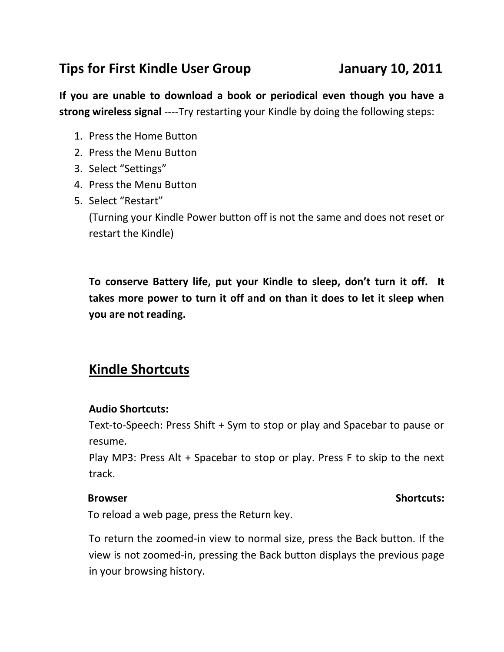# **Tips for First Kindle User Group January 10, 2011**

**If you are unable to download a book or periodical even though you have a strong wireless signal** ----Try restarting your Kindle by doing the following steps:

- 1. Press the Home Button
- 2. Press the Menu Button
- 3. Select "Settings"
- 4. Press the Menu Button
- 5. Select "Restart"

(Turning your Kindle Power button off is not the same and does not reset or restart the Kindle)

**To conserve Battery life, put your Kindle to sleep, don't turn it off. It takes more power to turn it off and on than it does to let it sleep when you are not reading.**

# **Kindle Shortcuts**

### **Audio Shortcuts:**

Text-to-Speech: Press Shift + Sym to stop or play and Spacebar to pause or resume.

Play MP3: Press Alt + Spacebar to stop or play. Press F to skip to the next track.

### **Browser** Shortcuts:

To reload a web page, press the Return key.

To return the zoomed-in view to normal size, press the Back button. If the view is not zoomed-in, pressing the Back button displays the previous page in your browsing history.